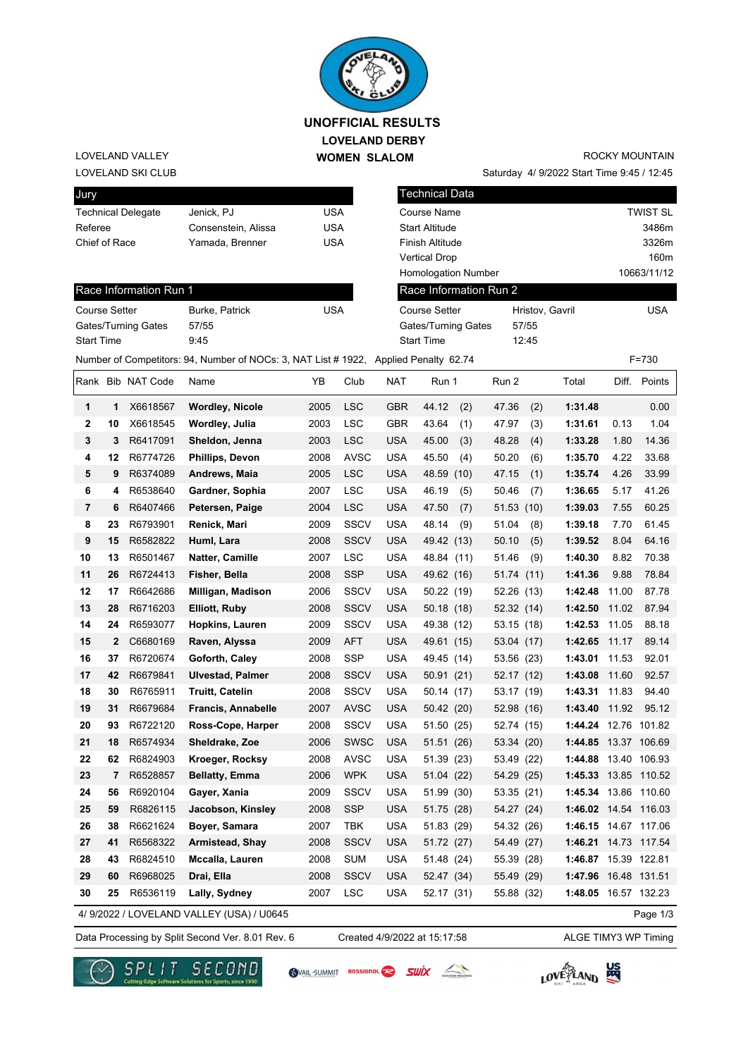

### **LOVELAND DERBY WOMEN SLALOM UNOFFICIAL RESULTS**

#### LOVELAND SKI CLUB LOVELAND VALLEY

# ROCKY MOUNTAIN

Saturday 4/ 9/2022 Start Time 9:45 / 12:45

| Jury                      |              |                        |                                                                                      |            |             |                     | <b>Technical Data</b>      |                 |             |                               |       |           |  |
|---------------------------|--------------|------------------------|--------------------------------------------------------------------------------------|------------|-------------|---------------------|----------------------------|-----------------|-------------|-------------------------------|-------|-----------|--|
| <b>Technical Delegate</b> |              |                        | Jenick, PJ                                                                           | <b>USA</b> |             |                     | Course Name                | <b>TWIST SL</b> |             |                               |       |           |  |
| Referee                   |              |                        | Consenstein, Alissa                                                                  | <b>USA</b> |             |                     | <b>Start Altitude</b>      | 3486m           |             |                               |       |           |  |
| Chief of Race             |              |                        | Yamada, Brenner                                                                      | <b>USA</b> |             |                     | Finish Altitude            |                 |             | 3326m                         |       |           |  |
|                           |              |                        |                                                                                      |            |             |                     | <b>Vertical Drop</b>       |                 | 160m        |                               |       |           |  |
|                           |              |                        |                                                                                      |            |             |                     | <b>Homologation Number</b> |                 | 10663/11/12 |                               |       |           |  |
|                           |              | Race Information Run 1 |                                                                                      |            |             |                     | Race Information Run 2     |                 |             |                               |       |           |  |
| <b>Course Setter</b>      |              |                        | Burke, Patrick                                                                       | <b>USA</b> |             |                     | <b>Course Setter</b>       |                 |             | <b>USA</b><br>Hristov, Gavril |       |           |  |
| Gates/Turning Gates       |              |                        | 57/55                                                                                |            |             | Gates/Turning Gates |                            |                 | 57/55       |                               |       |           |  |
| <b>Start Time</b>         |              |                        | 9:45                                                                                 |            |             |                     | <b>Start Time</b>          |                 | 12:45       |                               |       |           |  |
|                           |              |                        | Number of Competitors: 94, Number of NOCs: 3, NAT List # 1922, Applied Penalty 62.74 |            |             |                     |                            |                 |             |                               |       | $F = 730$ |  |
|                           |              | Rank Bib NAT Code      | Name                                                                                 | ΥB         | Club        | <b>NAT</b>          | Run 1                      | Run 2           |             | Total                         | Diff. | Points    |  |
| 1                         | 1            | X6618567               | <b>Wordley, Nicole</b>                                                               | 2005       | LSC         | <b>GBR</b>          | 44.12<br>(2)               | 47.36           | (2)         | 1:31.48                       |       | 0.00      |  |
| $\boldsymbol{2}$          | 10           | X6618545               | Wordley, Julia                                                                       | 2003       | <b>LSC</b>  | <b>GBR</b>          | 43.64<br>(1)               | 47.97           | (3)         | 1:31.61                       | 0.13  | 1.04      |  |
| 3                         | 3            | R6417091               | Sheldon, Jenna                                                                       | 2003       | <b>LSC</b>  | <b>USA</b>          | 45.00<br>(3)               | 48.28           | (4)         | 1:33.28                       | 1.80  | 14.36     |  |
| 4                         | 12           | R6774726               | Phillips, Devon                                                                      | 2008       | <b>AVSC</b> | <b>USA</b>          | 45.50<br>(4)               | 50.20           | (6)         | 1:35.70                       | 4.22  | 33.68     |  |
| 5                         | 9            | R6374089               | Andrews, Maia                                                                        | 2005       | <b>LSC</b>  | <b>USA</b>          | 48.59<br>(10)              | 47.15           | (1)         | 1:35.74                       | 4.26  | 33.99     |  |
| 6                         | 4            | R6538640               | Gardner, Sophia                                                                      | 2007       | <b>LSC</b>  | <b>USA</b>          | 46.19<br>(5)               | 50.46           | (7)         | 1:36.65                       | 5.17  | 41.26     |  |
| 7                         | 6            | R6407466               | Petersen, Paige                                                                      | 2004       | <b>LSC</b>  | <b>USA</b>          | 47.50<br>(7)               | 51.53(10)       |             | 1:39.03                       | 7.55  | 60.25     |  |
| 8                         | 23           | R6793901               | Renick, Mari                                                                         | 2009       | <b>SSCV</b> | <b>USA</b>          | 48.14<br>(9)               | 51.04           | (8)         | 1:39.18                       | 7.70  | 61.45     |  |
| 9                         | 15           | R6582822               | Huml, Lara                                                                           | 2008       | <b>SSCV</b> | <b>USA</b>          | 49.42 (13)                 | 50.10           | (5)         | 1:39.52                       | 8.04  | 64.16     |  |
| 10                        | 13           | R6501467               | Natter, Camille                                                                      | 2007       | LSC         | <b>USA</b>          | 48.84 (11)                 | 51.46           | (9)         | 1:40.30                       | 8.82  | 70.38     |  |
| 11                        | 26           | R6724413               | Fisher, Bella                                                                        | 2008       | <b>SSP</b>  | <b>USA</b>          | 49.62 (16)                 | 51.74 (11)      |             | 1:41.36                       | 9.88  | 78.84     |  |
| 12                        | 17           | R6642686               | Milligan, Madison                                                                    | 2006       | <b>SSCV</b> | <b>USA</b>          | 50.22 (19)                 | 52.26 (13)      |             | 1:42.48                       | 11.00 | 87.78     |  |
| 13                        | 28           | R6716203               | <b>Elliott, Ruby</b>                                                                 | 2008       | <b>SSCV</b> | <b>USA</b>          | 50.18(18)                  | 52.32 (14)      |             | 1:42.50                       | 11.02 | 87.94     |  |
| 14                        | 24           | R6593077               | Hopkins, Lauren                                                                      | 2009       | <b>SSCV</b> | <b>USA</b>          | 49.38 (12)                 | 53.15 (18)      |             | 1:42.53                       | 11.05 | 88.18     |  |
| 15                        | $\mathbf{2}$ | C6680169               | Raven, Alyssa                                                                        | 2009       | <b>AFT</b>  | <b>USA</b>          | 49.61 (15)                 | 53.04 (17)      |             | 1:42.65                       | 11.17 | 89.14     |  |
| 16                        | 37           | R6720674               | Goforth, Caley                                                                       | 2008       | <b>SSP</b>  | <b>USA</b>          | 49.45 (14)                 | 53.56 (23)      |             | 1:43.01                       | 11.53 | 92.01     |  |
| 17                        | 42           | R6679841               | <b>Ulvestad, Palmer</b>                                                              | 2008       | <b>SSCV</b> | <b>USA</b>          | 50.91(21)                  | 52.17 (12)      |             | 1:43.08                       | 11.60 | 92.57     |  |
| 18                        | 30           | R6765911               | <b>Truitt, Catelin</b>                                                               | 2008       | <b>SSCV</b> | <b>USA</b>          | 50.14 (17)                 | 53.17 (19)      |             | 1:43.31                       | 11.83 | 94.40     |  |
| 19                        | 31           | R6679684               | Francis, Annabelle                                                                   | 2007       | <b>AVSC</b> | <b>USA</b>          | 50.42 (20)                 | 52.98 (16)      |             | 1:43.40                       | 11.92 | 95.12     |  |
| 20                        | 93           | R6722120               | Ross-Cope, Harper                                                                    | 2008       | <b>SSCV</b> | <b>USA</b>          | 51.50 (25)                 | 52.74 (15)      |             | 1:44.24 12.76 101.82          |       |           |  |
| 21                        | 18           | R6574934               | Sheldrake, Zoe                                                                       | 2006       | <b>SWSC</b> | <b>USA</b>          | 51.51 (26)                 | 53.34 (20)      |             | 1:44.85 13.37 106.69          |       |           |  |
| 22                        | 62           | R6824903               | Kroeger, Rocksy                                                                      | 2008       | <b>AVSC</b> | <b>USA</b>          | 51.39 (23)                 | 53.49 (22)      |             | 1:44.88 13.40 106.93          |       |           |  |
| 23                        | 7            | R6528857               | <b>Bellatty, Emma</b>                                                                | 2006       | <b>WPK</b>  | <b>USA</b>          | 51.04 (22)                 | 54.29 (25)      |             | 1:45.33 13.85 110.52          |       |           |  |
| 24                        | 56           | R6920104               | Gayer, Xania                                                                         | 2009       | <b>SSCV</b> | <b>USA</b>          | 51.99 (30)                 | 53.35 (21)      |             | 1:45.34 13.86 110.60          |       |           |  |
| 25                        | 59           | R6826115               | Jacobson, Kinsley                                                                    | 2008       | <b>SSP</b>  | <b>USA</b>          | 51.75 (28)                 | 54.27 (24)      |             | 1:46.02 14.54 116.03          |       |           |  |
| 26                        | 38           | R6621624               | Boyer, Samara                                                                        | 2007       | TBK         | <b>USA</b>          | 51.83 (29)                 | 54.32 (26)      |             | 1:46.15 14.67 117.06          |       |           |  |
| 27                        | 41           | R6568322               | Armistead, Shay                                                                      | 2008       | <b>SSCV</b> | <b>USA</b>          | 51.72 (27)                 | 54.49 (27)      |             | 1:46.21 14.73 117.54          |       |           |  |
| 28                        | 43           | R6824510               | Mccalla, Lauren                                                                      | 2008       | <b>SUM</b>  | <b>USA</b>          | 51.48 (24)                 | 55.39 (28)      |             | 1:46.87 15.39 122.81          |       |           |  |
| 29                        | 60           | R6968025               | Drai, Ella                                                                           | 2008       | <b>SSCV</b> | <b>USA</b>          | 52.47 (34)                 | 55.49 (29)      |             | 1:47.96 16.48 131.51          |       |           |  |
| 30                        | 25           | R6536119               | Lally, Sydney                                                                        | 2007       | <b>LSC</b>  | USA                 | 52.17 (31)                 | 55.88 (32)      |             | 1:48.05 16.57 132.23          |       |           |  |
|                           |              |                        | 4/ 9/2022 / LOVELAND VALLEY (USA) / U0645                                            |            |             |                     |                            |                 |             |                               |       | Page 1/3  |  |

Data Processing by Split Second Ver. 8.01 Rev. 6 Created 4/9/2022 at 15:17:58 ALGE TIMY3 WP Timing

for Sports, since 1990

Created 4/9/2022 at 15:17:58

SVAIL-SUMMIT ROSSIGNOL RESULT

LOVE TAND

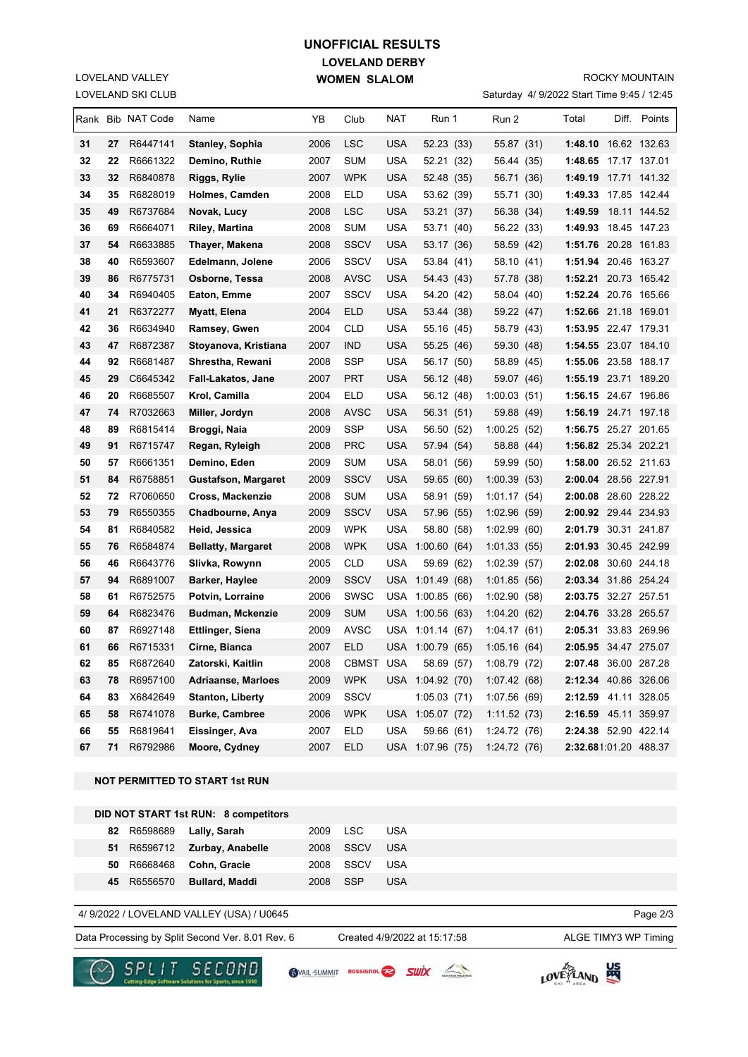## **LOVELAND DERBY WOMEN SLALOM UNOFFICIAL RESULTS**

LOVELAND SKI CLUB LOVELAND VALLEY

#### ROCKY MOUNTAIN

Saturday 4/ 9/2022 Start Time 9:45 / 12:45

|                                       |          | Rank Bib NAT Code    | Name                                           | YΒ           | Club        | NAT        | Run 1                                    | Run 2                       | Total                                        |  | Diff. Points |
|---------------------------------------|----------|----------------------|------------------------------------------------|--------------|-------------|------------|------------------------------------------|-----------------------------|----------------------------------------------|--|--------------|
| 31                                    | 27       | R6447141             | Stanley, Sophia                                | 2006         | <b>LSC</b>  | <b>USA</b> | 52.23 (33)                               | 55.87 (31)                  | 1:48.10 16.62 132.63                         |  |              |
| 32                                    | 22       | R6661322             | Demino, Ruthie                                 | 2007         | <b>SUM</b>  | USA        | 52.21 (32)                               | 56.44 (35)                  | 1:48.65 17.17 137.01                         |  |              |
| 33                                    | 32       | R6840878             | Riggs, Rylie                                   | 2007         | WPK         | USA        | 52.48 (35)                               | 56.71 (36)                  | 1:49.19 17.71 141.32                         |  |              |
| 34                                    | 35       | R6828019             | Holmes, Camden                                 | 2008         | ELD         | USA        | 53.62 (39)                               | 55.71<br>(30)               | 1:49.33 17.85 142.44                         |  |              |
| 35                                    | 49       | R6737684             | Novak, Lucy                                    | 2008         | LSC         | USA        | 53.21 (37)                               | 56.38 (34)                  | 1:49.59                                      |  | 18.11 144.52 |
| 36                                    | 69       | R6664071             | Riley, Martina                                 | 2008         | SUM         | USA        | 53.71 (40)                               | 56.22 (33)                  | 1:49.93 18.45 147.23                         |  |              |
| 37                                    | 54       | R6633885             | Thayer, Makena                                 | 2008         | SSCV        | USA        | 53.17 (36)                               | 58.59 (42)                  | 1:51.76 20.28 161.83                         |  |              |
| 38                                    | 40       | R6593607             | Edelmann, Jolene                               | 2006         | SSCV        | <b>USA</b> | 53.84 (41)                               | 58.10 (41)                  | 1:51.94 20.46 163.27                         |  |              |
| 39                                    | 86       | R6775731             | Osborne, Tessa                                 | 2008         | <b>AVSC</b> | USA        | 54.43 (43)                               | 57.78<br>(38)               | 1:52.21 20.73 165.42                         |  |              |
| 40                                    | 34       | R6940405             | Eaton, Emme                                    | 2007         | SSCV        | USA        | 54.20 (42)                               | 58.04<br>(40)               | 1:52.24 20.76 165.66                         |  |              |
| 41                                    | 21       | R6372277             | Myatt, Elena                                   | 2004         | ELD         | <b>USA</b> | 53.44 (38)                               | 59.22 (47)                  | 1:52.66 21.18 169.01                         |  |              |
| 42                                    | 36       | R6634940             | Ramsey, Gwen                                   | 2004         | CLD         | USA        | 55.16 (45)                               | 58.79 (43)                  | 1:53.95 22.47 179.31                         |  |              |
| 43                                    | 47       | R6872387             | Stoyanova, Kristiana                           | 2007         | ind         | USA        | 55.25 (46)                               | 59.30<br>(48)               | 1:54.55 23.07 184.10                         |  |              |
| 44                                    | 92       | R6681487             | Shrestha, Rewani                               | 2008         | SSP         | USA        | 56.17 (50)                               | 58.89<br>(45)               | 1:55.06 23.58 188.17                         |  |              |
| 45                                    | 29       | C6645342             | <b>Fall-Lakatos, Jane</b>                      | 2007         | PRT         | <b>USA</b> | 56.12 (48)                               | 59.07 (46)                  | 1:55.19 23.71 189.20                         |  |              |
| 46                                    | 20       | R6685507             | Krol, Camilla                                  | 2004         | ELD         | USA        | 56.12 (48)                               | 1:00.03(51)                 | 1:56.15 24.67 196.86                         |  |              |
| 47                                    | 74       | R7032663             | Miller, Jordyn                                 | 2008         | <b>AVSC</b> | USA        | 56.31 (51)                               | 59.88 (49)                  | 1:56.19 24.71 197.18                         |  |              |
| 48                                    | 89       | R6815414             | Broggi, Naia                                   | 2009         | SSP         | USA        | 56.50 (52)                               | 1:00.25(52)                 | 1:56.75 25.27 201.65                         |  |              |
| 49                                    | 91       | R6715747             | Regan, Ryleigh                                 | 2008         | PRC         | USA        | 57.94 (54)                               | 58.88 (44)                  | 1:56.82 25.34 202.21                         |  |              |
| 50                                    | 57       | R6661351             | Demino, Eden                                   | 2009         | SUM         | USA        | 58.01 (56)                               | 59.99 (50)                  | 1:58.00 26.52 211.63                         |  |              |
| 51                                    | 84       | R6758851             | Gustafson, Margaret                            | 2009         | <b>SSCV</b> | <b>USA</b> | 59.65 (60)                               | 1:00.39(53)                 | 2:00.04 28.56 227.91                         |  |              |
| 52                                    | 72       | R7060650             | Cross, Mackenzie                               | 2008         | <b>SUM</b>  | <b>USA</b> | 58.91 (59)                               | 1:01.17(54)                 | 2:00.08 28.60 228.22                         |  |              |
| 53                                    | 79       | R6550355             | Chadbourne, Anya                               | 2009         | SSCV        | USA        | 57.96 (55)                               | 1:02.96(59)                 | 2:00.92 29.44 234.93                         |  |              |
| 54                                    | 81       | R6840582             | Heid, Jessica                                  | 2009         | <b>WPK</b>  | USA        | 58.80 (58)                               | 1:02.99(60)                 | 2:01.79 30.31 241.87                         |  |              |
| 55                                    | 76       | R6584874             | <b>Bellatty, Margaret</b>                      | 2008         | <b>WPK</b>  |            | USA 1:00.60 (64)                         | 1:01.33(55)                 | 2:01.93 30.45 242.99                         |  |              |
| 56                                    | 46       | R6643776             | Slivka, Rowynn                                 | 2005         | CLD         | <b>USA</b> | 59.69 (62)                               | 1:02.39<br>(57)             | 2:02.08 30.60 244.18                         |  |              |
| 57                                    | 94       | R6891007             | Barker, Haylee                                 | 2009         | SSCV        |            | USA 1:01.49 (68)                         | 1:01.85<br>(56)             | 2:03.34 31.86 254.24                         |  |              |
| 58                                    | 61       | R6752575             | Potvin, Lorraine                               | 2006         | SWSC        | USA        | 1:00.85 (66)                             | 1:02.90<br>(58)             | 2:03.75 32.27 257.51                         |  |              |
| 59                                    | 64       | R6823476             | Budman, Mckenzie                               | 2009         | <b>SUM</b>  |            | USA 1:00.56 (63)                         | 1:04.20<br>(62)             | 2:04.76 33.28 265.57                         |  |              |
| 60                                    | 87       | R6927148             | <b>Ettlinger, Siena</b>                        | 2009         | AVSC        | <b>USA</b> | 1:01.14 (67)                             | 1:04.17(61)                 | 2:05.31 33.83 269.96                         |  |              |
| 61<br>62                              | 66<br>85 | R6715331             | Cirne, Bianca                                  | 2007         | ELD         |            | USA 1:00.79 (65)<br>CBMST USA 58.69 (57) | 1:05.16(64)                 | 2:05.95 34.47 275.07<br>2:07.48 36.00 287.28 |  |              |
| 63                                    | 78       | R6872640<br>R6957100 | Zatorski, Kaitlin<br><b>Adriaanse, Marloes</b> | 2008<br>2009 | <b>WPK</b>  |            | USA 1:04.92 (70)                         | 1:08.79 (72)<br>1:07.42(68) | 2:12.34 40.86 326.06                         |  |              |
| 64                                    | 83       | X6842649             | <b>Stanton, Liberty</b>                        | 2009         | <b>SSCV</b> |            | 1:05.03(71)                              | 1:07.56(69)                 | 2:12.59 41.11 328.05                         |  |              |
| 65                                    | 58       | R6741078             | <b>Burke, Cambree</b>                          | 2006         | <b>WPK</b>  |            | USA 1:05.07 (72)                         | 1:11.52(73)                 | 2:16.59 45.11 359.97                         |  |              |
| 66                                    | 55       | R6819641             | Eissinger, Ava                                 | 2007         | <b>ELD</b>  | USA        | 59.66 (61)                               | 1:24.72 (76)                | 2:24.38 52.90 422.14                         |  |              |
| 67                                    | 71       | R6792986             | Moore, Cydney                                  | 2007         | <b>ELD</b>  |            | USA 1:07.96 (75)                         | 1:24.72(76)                 | 2:32.681:01.20 488.37                        |  |              |
|                                       |          |                      |                                                |              |             |            |                                          |                             |                                              |  |              |
| <b>NOT PERMITTED TO START 1st RUN</b> |          |                      |                                                |              |             |            |                                          |                             |                                              |  |              |
|                                       |          |                      | DID NOT START 1st RUN: 8 competitors           |              |             |            |                                          |                             |                                              |  |              |
|                                       |          | 82 R6598689          | Lally, Sarah                                   | 2009         | <b>LSC</b>  | <b>USA</b> |                                          |                             |                                              |  |              |
|                                       | 51       | R6596712             | Zurbay, Anabelle                               | 2008         | <b>SSCV</b> | <b>USA</b> |                                          |                             |                                              |  |              |
|                                       | 50       | R6668468             | Cohn, Gracie                                   | 2008         | <b>SSCV</b> | USA        |                                          |                             |                                              |  |              |
|                                       | 45       | R6556570             | <b>Bullard, Maddi</b>                          | 2008         | <b>SSP</b>  | <b>USA</b> |                                          |                             |                                              |  |              |

#### 4/ 9/2022 / LOVELAND VALLEY (USA) / U0645

Data Processing by Split Second Ver. 8.01 Rev. 6 Created 4/9/2022 at 15:17:58 ALGE TIMY3 WP Timing

Created 4/9/2022 at 15:17:58

Page 2/3